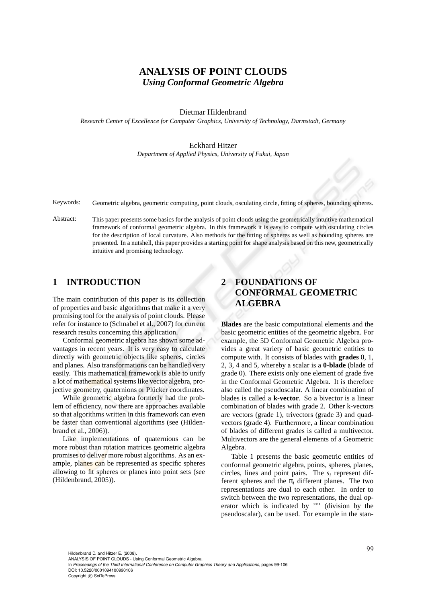# **ANALYSIS OF POINT CLOUDS** *Using Conformal Geometric Algebra*

Dietmar Hildenbrand

*Research Center of Excellence for Computer Graphics, University of Technology, Darmstadt, Germany*

#### Eckhard Hitzer

*Department of Applied Physics, University of Fukui, Japan*

Keywords: Geometric algebra, geometric computing, point clouds, osculating circle, fitting of spheres, bounding spheres.

Abstract: This paper presents some basics for the analysis of point clouds using the geometrically intuitive mathematical framework of conformal geometric algebra. In this framework it is easy to compute with osculating circles for the description of local curvature. Also methods for the fitting of spheres as well as bounding spheres are presented. In a nutshell, this paper provides a starting point for shape analysis based on this new, geometrically intuitive and promising technology.

# **1 INTRODUCTION**

The main contribution of this paper is its collection of properties and basic algorithms that make it a very promising tool for the analysis of point clouds. Please refer for instance to (Schnabel et al., 2007) for current research results concerning this application.

Conformal geometric algebra has shown some advantages in recent years. It is very easy to calculate directly with geometric objects like spheres, circles and planes. Also transformations can be handled very easily. This mathematical framework is able to unify a lot of mathematical systems like vector algebra, projective geometry, quaternions or Plücker coordinates.

While geometric algebra formerly had the problem of efficiency, now there are approaches available so that algorithms written in this framework can even be faster than conventional algorithms (see (Hildenbrand et al., 2006)).

Like implementations of quaternions can be more robust than rotation matrices geometric algebra promises to deliver more robust algorithms. As an example, planes can be represented as specific spheres allowing to fit spheres or planes into point sets (see (Hildenbrand, 2005)).

# **2 FOUNDATIONS OF CONFORMAL GEOMETRIC ALGEBRA**

**Blades** are the basic computational elements and the basic geometric entities of the geometric algebra. For example, the 5D Conformal Geometric Algebra provides a great variety of basic geometric entities to compute with. It consists of blades with **grades** 0, 1, 2, 3, 4 and 5, whereby a scalar is a **0-blade** (blade of grade 0). There exists only one element of grade five in the Conformal Geometric Algebra. It is therefore also called the pseudoscalar. A linear combination of blades is called a **k-vector**. So a bivector is a linear combination of blades with grade 2. Other k-vectors are vectors (grade 1), trivectors (grade 3) and quadvectors (grade 4). Furthermore, a linear combination of blades of different grades is called a multivector. Multivectors are the general elements of a Geometric Algebra.

Table 1 presents the basic geometric entities of conformal geometric algebra, points, spheres, planes, circles, lines and point pairs. The *s<sup>i</sup>* represent different spheres and the  $\pi_i$  different planes. The two representations are dual to each other. In order to switch between the two representations, the dual operator which is indicated by \*\*' (division by the pseudoscalar), can be used. For example in the stan-

Hildenbrand D. and Hitzer E. (2008). ANALYSIS OF POINT CLOUDS - Using Conformal Geometric Algebra. In *Proceedings of the Third International Conference on Computer Graphics Theory and Applications*, pages 99-106 DOI: 10.5220/0001094100990106 Copyright © SciTePress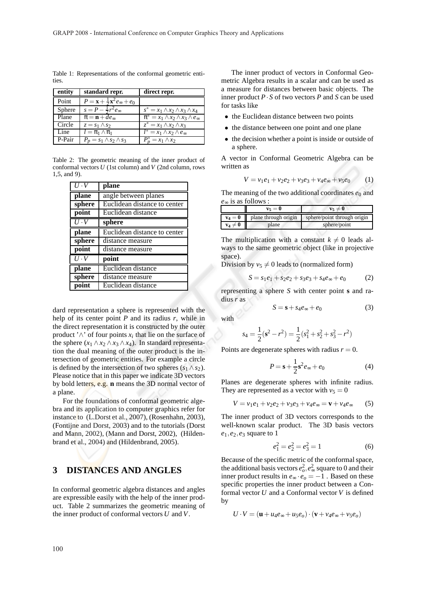Table 1: Representations of the conformal geometric entities.

| entity | standard repr.                                              | direct repr.                                          |
|--------|-------------------------------------------------------------|-------------------------------------------------------|
| Point  | $P = \mathbf{x} + \frac{1}{2}\mathbf{x}^2 e_{\infty} + e_0$ |                                                       |
| Sphere | $s = P - \frac{1}{2}r^2 e_{\infty}$                         | $s^* = x_1 \wedge x_2 \wedge x_3 \wedge x_4$          |
| Plane  | $\pi = \mathbf{n} + de_{\infty}$                            | $\pi^* = x_1 \wedge x_2 \wedge x_3 \wedge e_{\infty}$ |
| Circle | $z = s_1 \wedge s_2$                                        | $z^* = x_1 \wedge x_2 \wedge x_3$                     |
| Line   | $l = \pi_1 \wedge \pi_1$                                    | $\overline{l^*}=x_1\wedge x_2\wedge e_{\infty}$       |
| P-Pair | $P_p = s_1 \wedge s_2 \wedge s_3$                           | $P_n^* = x_1 \wedge x_2$                              |

Table 2: The geometric meaning of the inner product of conformal vectors *U* (1st column) and *V* (2nd column, rows 1,5, and 9).

| $U \cdot V$                 | plane                        |  |
|-----------------------------|------------------------------|--|
| plane                       | angle between planes         |  |
| sphere                      | Euclidean distance to center |  |
| point                       | Euclidean distance           |  |
| $U \cdot V$                 | sphere                       |  |
| plane                       | Euclidean distance to center |  |
| sphere                      | distance measure             |  |
| point                       | distance measure             |  |
| $U \cdot V$                 | point                        |  |
| plane                       | Euclidean distance           |  |
| sphere                      | distance measure             |  |
| Euclidean distance<br>point |                              |  |

dard representation a sphere is represented with the help of its center point *P* and its radius *r*, while in the direct representation it is constructed by the outer product ' $\wedge$ ' of four points  $x_i$  that lie on the surface of the sphere  $(x_1 \wedge x_2 \wedge x_3 \wedge x_4)$ . In standard representation the dual meaning of the outer product is the intersection of geometric entities. For example a circle is defined by the intersection of two spheres  $(s_1 \wedge s_2)$ . Please notice that in this paper we indicate 3D vectors by bold letters, e.g. **n** means the 3D normal vector of a plane.

For the foundations of conformal geometric algebra and its application to computer graphics refer for instance to (L.Dorst et al., 2007), (Rosenhahn, 2003), (Fontijne and Dorst, 2003) and to the tutorials (Dorst and Mann, 2002), (Mann and Dorst, 2002), (Hildenbrand et al., 2004) and (Hildenbrand, 2005).

### **3 DISTANCES AND ANGLES**

In conformal geometric algebra distances and angles are expressible easily with the help of the inner product. Table 2 summarizes the geometric meaning of the inner product of conformal vectors *U* and *V*.

The inner product of vectors in Conformal Geometric Algebra results in a scalar and can be used as a measure for distances between basic objects. The inner product  $P \cdot S$  of two vectors  $P$  and  $S$  can be used for tasks like

- the Euclidean distance between two points
- the distance between one point and one plane
- the decision whether a point is inside or outside of a sphere.

A vector in Conformal Geometric Algebra can be written as

$$
V = v_1 e_1 + v_2 e_2 + v_3 e_3 + v_4 e_\infty + v_5 e_0 \tag{1}
$$

The meaning of the two additional coordinates  $e_0$  and *e*<sup>∞</sup> is as follows :

|             | $v_5=0$              | $v_5 \neq 0$                |
|-------------|----------------------|-----------------------------|
| $v_4=0$     | plane through origin | sphere/point through origin |
| $v_4\neq 0$ | plane                | sphere/point                |

The multiplication with a constant  $k \neq 0$  leads always to the same geometric object (like in projective space).

Division by  $v_5 \neq 0$  leads to (normalized form)

$$
S = s_1 e_1 + s_2 e_2 + s_3 e_3 + s_4 e_\infty + e_0 \tag{2}
$$

representing a sphere *S* with center point **s** and radius *r* as

$$
S = \mathbf{s} + s_4 e_\infty + e_0 \tag{3}
$$

with

$$
s_4 = \frac{1}{2}(\mathbf{s}^2 - r^2) = \frac{1}{2}(s_1^2 + s_2^2 + s_3^2 - r^2)
$$

Points are degenerate spheres with radius  $r = 0$ .

$$
P = \mathbf{s} + \frac{1}{2}\mathbf{s}^2 e_\infty + e_0 \tag{4}
$$

Planes are degenerate spheres with infinite radius. They are represented as a vector with  $v_5 = 0$ 

$$
V = v_1 e_1 + v_2 e_2 + v_3 e_3 + v_4 e_\infty = \mathbf{v} + v_4 e_\infty \qquad (5)
$$

The inner product of 3D vectors corresponds to the well-known scalar product. The 3D basis vectors *e*1,*e*2,*e*<sup>3</sup> square to 1

$$
e_1^2 = e_2^2 = e_3^2 = 1\tag{6}
$$

Because of the specific metric of the conformal space, the additional basis vectors  $e_o^2, e_\infty^2$  square to 0 and their inner product results in  $e_{\infty} \cdot e_{\infty} = -1$ . Based on these specific properties the inner product between a Conformal vector *U* and a Conformal vector *V* is defined by

$$
U \cdot V = (\mathbf{u} + u_4 e_\infty + u_5 e_o) \cdot (\mathbf{v} + v_4 e_\infty + v_5 e_o)
$$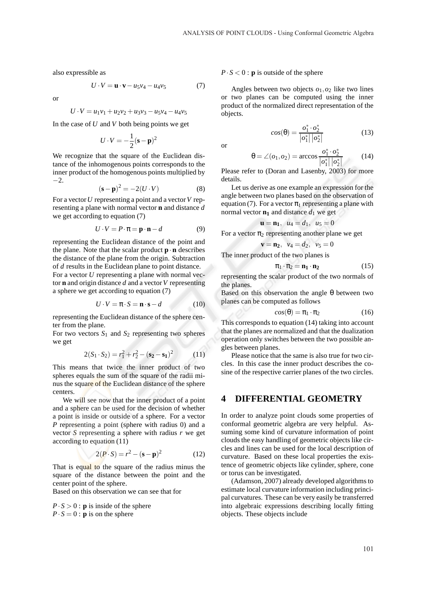also expressible as

$$
U \cdot V = \mathbf{u} \cdot \mathbf{v} - u_5 v_4 - u_4 v_5 \tag{7}
$$

or

$$
U \cdot V = u_1 v_1 + u_2 v_2 + u_3 v_3 - u_5 v_4 - u_4 v_5
$$

In the case of *U* and *V* both being points we get

$$
U \cdot V = -\frac{1}{2} (\mathbf{s} - \mathbf{p})^2
$$

We recognize that the square of the Euclidean distance of the inhomogenous points corresponds to the inner product of the homogenous points multiplied by −2.

$$
(\mathbf{s} - \mathbf{p})^2 = -2(U \cdot V) \tag{8}
$$

For a vector*U* representing a point and a vector*V* representing a plane with normal vector **n** and distance *d* we get according to equation (7)

$$
U \cdot V = P \cdot \pi = \mathbf{p} \cdot \mathbf{n} - d \tag{9}
$$

representing the Euclidean distance of the point and the plane. Note that the scalar product  $\mathbf{p} \cdot \mathbf{n}$  describes the distance of the plane from the origin. Subtraction of *d* results in the Euclidean plane to point distance.

For a vector *U* representing a plane with normal vector **n** and origin distance *d* and a vector*V* representing a sphere we get according to equation (7)

$$
U \cdot V = \pi \cdot S = \mathbf{n} \cdot \mathbf{s} - d \tag{10}
$$

representing the Euclidean distance of the sphere center from the plane.

For two vectors  $S_1$  and  $S_2$  representing two spheres we get

$$
2(S_1 \cdot S_2) = r_1^2 + r_2^2 - (\mathbf{s}_2 - \mathbf{s}_1)^2 \tag{11}
$$

This means that twice the inner product of two spheres equals the sum of the square of the radii minus the square of the Euclidean distance of the sphere centers.

We will see now that the inner product of a point and a sphere can be used for the decision of whether a point is inside or outside of a sphere. For a vector *P* representing a point (sphere with radius 0) and a vector *S* representing a sphere with radius *r* we get according to equation (11)

$$
2(P \cdot S) = r^2 - (s - p)^2 \tag{12}
$$

That is equal to the square of the radius minus the square of the distance between the point and the center point of the sphere.

Based on this observation we can see that for

 $P \cdot S > 0$ : **p** is inside of the sphere  $P \cdot S = 0$ : **p** is on the sphere

#### $P \cdot S < 0$ : **p** is outside of the sphere

Angles between two objects  $o_1$ ,  $o_2$  like two lines or two planes can be computed using the inner product of the normalized direct representation of the objects.

$$
cos(\theta) = \frac{o_1^* \cdot o_2^*}{|o_1^*| |o_2^*|}
$$
 (13)

or

$$
\theta = \angle(o_1, o_2) = \arccos \frac{o_1^* \cdot o_2^*}{|o_1^*| |o_2^*|}
$$
 (14)

Please refer to (Doran and Lasenby, 2003) for more details.

Let us derive as one example an expression for the angle between two planes based on the observation of equation (7). For a vector  $\pi_1$  representing a plane with normal vector  $\mathbf{n}_1$  and distance  $d_1$  we get

$$
\mathbf{u} = \mathbf{n_1}, \ \ u_4 = d_1, \ \ u_5 = 0
$$

For a vector  $\pi_2$  representing another plane we get

$$
\mathbf{v} = \mathbf{n}_2, \ \ v_4 = d_2, \ \ v_5 = 0
$$

The inner product of the two planes is

$$
\pi_1 \cdot \pi_2 = \mathbf{n}_1 \cdot \mathbf{n}_2 \tag{15}
$$

representing the scalar product of the two normals of the planes.

Based on this observation the angle  $\theta$  between two planes can be computed as follows

$$
cos(\theta) = \pi_1 \cdot \pi_2 \tag{16}
$$

This corresponds to equation (14) taking into account that the planes are normalized and that the dualization operation only switches between the two possible angles between planes.

Please notice that the same is also true for two circles. In this case the inner product describes the cosine of the respective carrier planes of the two circles.

# **4 DIFFERENTIAL GEOMETRY**

In order to analyze point clouds some properties of conformal geometric algebra are very helpful. Assuming some kind of curvature information of point clouds the easy handling of geometric objects like circles and lines can be used for the local description of curvature. Based on these local properties the existence of geometric objects like cylinder, sphere, cone or torus can be investigated.

(Adamson, 2007) already developed algorithms to estimate local curvature information including principal curvatures. These can be very easily be transferred into algebraic expressions describing locally fitting objects. These objects include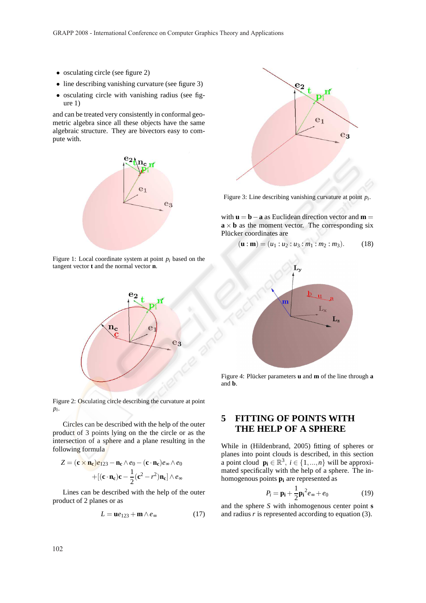- osculating circle (see figure 2)
- line describing vanishing curvature (see figure 3)
- osculating circle with vanishing radius (see figure 1)

and can be treated very consistently in conformal geometric algebra since all these objects have the same algebraic structure. They are bivectors easy to compute with.



Figure 1: Local coordinate system at point  $p_i$  based on the tangent vector **t** and the normal vector **n**.



Figure 2: Osculating circle describing the curvature at point *pi* .

Circles can be described with the help of the outer product of 3 points lying on the the circle or as the intersection of a sphere and a plane resulting in the following formula

$$
Z = (\mathbf{c} \times \mathbf{n_c})e_{123} - \mathbf{n_c} \wedge e_0 - (\mathbf{c} \cdot \mathbf{n_c})e_{\infty} \wedge e_0
$$

$$
+ [(\mathbf{c} \cdot \mathbf{n_c})\mathbf{c} - \frac{1}{2}(\mathbf{c}^2 - r^2)\mathbf{n_c}] \wedge e_{\infty}
$$

Lines can be described with the help of the outer product of 2 planes or as

$$
L = \mathbf{u}e_{123} + \mathbf{m} \wedge e_{\infty} \tag{17}
$$



Figure 3: Line describing vanishing curvature at point *p<sup>i</sup>* .

with  $\mathbf{u} = \mathbf{b} - \mathbf{a}$  as Euclidean direction vector and  $\mathbf{m} =$  $\mathbf{a} \times \mathbf{b}$  as the moment vector. The corresponding six Plücker coordinates are

$$
(\mathbf{u} : \mathbf{m}) = (u_1 : u_2 : u_3 : m_1 : m_2 : m_3). \tag{18}
$$



Figure 4: Plücker parameters **u** and **m** of the line through **a** and **b**.

# **5 FITTING OF POINTS WITH THE HELP OF A SPHERE**

While in (Hildenbrand, 2005) fitting of spheres or planes into point clouds is described, in this section a point cloud  $\mathbf{p_i} \in \mathbb{R}^3$ ,  $i \in \{1, ..., n\}$  will be approximated specifically with the help of a sphere. The inhomogenous points **p<sup>i</sup>** are represented as

$$
P_i = \mathbf{p_i} + \frac{1}{2}\mathbf{p_i}^2 e_\infty + e_0 \tag{19}
$$

and the sphere *S* with inhomogenous center point **s** and radius *r* is represented according to equation (3).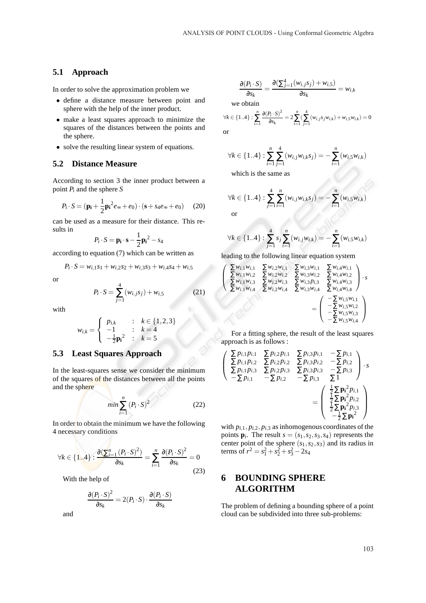### **5.1 Approach**

In order to solve the approximation problem we

- define a distance measure between point and sphere with the help of the inner product.
- make a least squares approach to minimize the squares of the distances between the points and the sphere.
- solve the resulting linear system of equations.

### **5.2 Distance Measure**

According to section 3 the inner product between a point *P<sup>i</sup>* and the sphere *S*

$$
P_i \cdot S = (\mathbf{p_i} + \frac{1}{2}\mathbf{p_i}^2 e_{\infty} + e_0) \cdot (\mathbf{s} + s_4 e_{\infty} + e_0) \tag{20}
$$

can be used as a measure for their distance. This results in

$$
P_i \cdot S = \mathbf{p_i} \cdot \mathbf{s} - \frac{1}{2} \mathbf{p_i}^2 - s_4
$$

according to equation (7) which can be written as

$$
P_i \cdot S = w_{i,1} s_1 + w_{i,2} s_2 + w_{i,3} s_3 + w_{i,4} s_4 + w_{i,5}
$$

or

$$
P_i \cdot S = \sum_{j=1}^{4} (w_{i,j} s_j) + w_{i,5}
$$
 (21)

with

$$
w_{i,k} = \begin{cases} p_{i,k} & : k \in \{1,2,3\} \\ -1 & : k = 4 \\ -\frac{1}{2}\mathbf{p_i}^2 & : k = 5 \end{cases}
$$

### **5.3 Least Squares Approach**

In the least-squares sense we consider the minimum of the squares of the distances between all the points and the sphere

$$
min \sum_{i=1}^{n} (P_i \cdot S)^2
$$
 (22)

In order to obtain the minimum we have the following 4 necessary conditions

$$
\forall k \in \{1..4\} : \frac{\partial (\sum_{i=1}^{n} (P_i \cdot S)^2)}{\partial s_k} = \sum_{i=1}^{n} \frac{\partial (P_i \cdot S)^2}{\partial s_k} = 0
$$
\n(23)

With the help of

$$
\frac{\partial (P_i \cdot S)^2}{\partial s_k} = 2(P_i \cdot S) \cdot \frac{\partial (P_i \cdot S)}{\partial s_k}
$$

and

$$
\frac{\partial (P_i \cdot S)}{\partial s_k} = \frac{\partial (\sum_{j=1}^4 (w_{i,j} s_j) + w_{i,5})}{\partial s_k} = w_{i,k}
$$

we obtain

$$
\forall k \in \{1..4\}: \sum_{i=1}^{n} \frac{\partial (P_i \cdot S)^2}{\partial s_k} = 2 \sum_{i=1}^{n} \left( \sum_{j=1}^{4} (w_{i,j} s_j w_{i,k}) + w_{i,5} w_{i,k} \right) = 0
$$
  
or

$$
\forall k \in \{1..4\}: \sum_{i=1}^{n} \sum_{j=1}^{4} (w_{i,j} w_{i,k} s_j) = -\sum_{i=1}^{n} (w_{i,5} w_{i,k})
$$

which is the same as

$$
\forall k \in \{1..4\}: \sum_{j=1}^{4} \sum_{i=1}^{n} (w_{i,j}w_{i,k}s_j) = -\sum_{i=1}^{n} (w_{i,5}w_{i,k})
$$
or

 $(w_{i,k})$ 

$$
\forall k \in \{1..4\}: \sum_{j=1}^{4} s_j \sum_{i=1}^{n} (w_{i,j} w_{i,k}) = -\sum_{i=1}^{n} (w_{i,5})
$$

leading to the following linear equation system

$$
\begin{pmatrix}\n\Sigma w_{i,1}w_{i,1} & \Sigma w_{i,2}w_{i,1} & \Sigma w_{i,3}w_{i,1} & \Sigma w_{i,4}w_{i,1} \\
\Sigma w_{i,1}w_{i,2} & \Sigma w_{i,2}w_{i,2} & \Sigma w_{i,3}w_{i,2} & \Sigma w_{i,4}w_{i,2} \\
\Sigma w_{i,1}w_{i,3} & \Sigma w_{i,2}w_{i,3} & \Sigma w_{i,3}w_{i,3} & \Sigma w_{i,4}w_{i,3} \\
\Sigma w_{i,1}w_{i,4} & \Sigma w_{i,2}w_{i,4} & \Sigma w_{i,3}w_{i,4} & \Sigma w_{i,4}w_{i,4} \\
& \phantom{\Sigma w_{i,1}}\n\end{pmatrix} \cdot s
$$
\n
$$
= \begin{pmatrix}\n-\Sigma w_{i,5}w_{i,1} \\
-\Sigma w_{i,5}w_{i,2} \\
-\Sigma w_{i,5}w_{i,3} \\
-\Sigma w_{i,5}w_{i,4}\n\end{pmatrix}
$$

For a fitting sphere, the result of the least squares approach is as follows :

$$
\begin{pmatrix}\n\Sigma p_{i,1}p_{i,1} & \Sigma p_{i,2}p_{i,1} & \Sigma p_{i,3}p_{i,1} & -\Sigma p_{i,1} \\
\Sigma p_{i,1}p_{i,2} & \Sigma p_{i,2}p_{i,2} & \Sigma p_{i,3}p_{i,2} & -\Sigma p_{i,2} \\
\Sigma p_{i,1}p_{i,3} & \Sigma p_{i,2}p_{i,3} & \Sigma p_{i,3}p_{i,3} & -\Sigma p_{i,3} \\
-\Sigma p_{i,1} & -\Sigma p_{i,2} & -\Sigma p_{i,3} & \Sigma 1\n\end{pmatrix} \cdot s
$$
\n
$$
= \begin{pmatrix}\n\frac{1}{2}\Sigma \mathbf{p}_{i}^{2}p_{i,1} \\
\frac{1}{2}\Sigma \mathbf{p}_{i}^{2}p_{i,2} \\
\frac{1}{2}\Sigma \mathbf{p}_{i}^{2}p_{i,3} \\
-\frac{1}{2}\Sigma \mathbf{p}_{i}^{2}\n\end{pmatrix}
$$

with  $p_{i,1}, p_{i,2}, p_{i,3}$  as inhomogenous coordinates of the points  $\mathbf{p}_i$ . The result  $s = (s_1, s_2, s_3, s_4)$  represents the center point of the sphere (*s*1,*s*2,*s*3) and its radius in terms of  $r^2 = s_1^2 + s_2^2 + s_3^2 - 2s_4$ 

# **6 BOUNDING SPHERE ALGORITHM**

The problem of defining a bounding sphere of a point cloud can be subdivided into three sub-problems: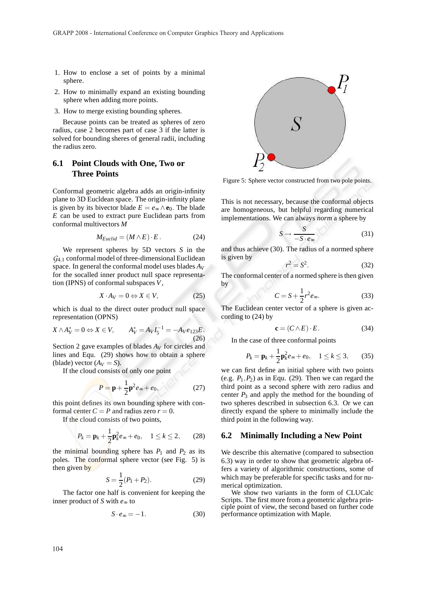- 1. How to enclose a set of points by a minimal sphere.
- 2. How to minimally expand an existing bounding sphere when adding more points.
- 3. How to merge existing bounding spheres.

Because points can be treated as spheres of zero radius, case 2 becomes part of case 3 if the latter is solved for bounding sheres of general radii, including the radius zero.

## **6.1 Point Clouds with One, Two or Three Points**

Conformal geometric algebra adds an origin-infinity plane to 3D Eucldean space. The origin-infinity plane is given by its bivector blade  $E = e_\infty \wedge \mathbf{e}_0$ . The blade *E* can be used to extract pure Euclidean parts from conformal multivectors *M*

$$
M_{Euclid} = (M \wedge E) \cdot E. \tag{24}
$$

We represent spheres by 5D vectors *S* in the *G*<sup>4</sup>,<sup>1</sup> conformal model of three-dimensional Euclidean space. In general the conformal model uses blades *A<sup>V</sup>* for the socalled inner product null space representation (IPNS) of conformal subspaces *V*,

$$
X \cdot A_V = 0 \Leftrightarrow X \in V,\tag{25}
$$

which is dual to the direct outer product null space representation (OPNS)

$$
X \wedge A_V^* = 0 \Leftrightarrow X \in V, \qquad A_V^* = A_V I_5^{-1} = -A_V e_{123} E. \tag{26}
$$

Section 2 gave examples of blades *A<sup>V</sup>* for circles and lines and Equ. (29) shows how to obtain a sphere (blade) vector  $(A_V = S)$ .

If the cloud consists of only one point

$$
P = \mathbf{p} + \frac{1}{2}\mathbf{p}^2 e_{\infty} + e_0, \qquad (27)
$$

this point defines its own bounding sphere with conformal center  $C = P$  and radius zero  $r = 0$ .

If the cloud consists of two points,

$$
P_k = \mathbf{p}_k + \frac{1}{2} \mathbf{p}_k^2 e_\infty + e_0, \quad 1 \le k \le 2, \qquad (28)
$$

the minimal bounding sphere has  $P_1$  and  $P_2$  as its poles. The conformal sphere vector (see Fig. 5) is then given by

$$
S = \frac{1}{2}(P_1 + P_2). \tag{29}
$$

The factor one half is convenient for keeping the inner product of *S* with *e*<sup>∞</sup> to

$$
S \cdot e_{\infty} = -1. \tag{30}
$$



Figure 5: Sphere vector constructed from two pole points.

This is not necessary, because the conformal objects are homogeneous, but helpful regarding numerical implementations. We can always *norm* a sphere by

$$
S \to \frac{S}{-S \cdot e_{\infty}} \tag{31}
$$

and thus achieve (30). The radius of a normed sphere is given by

$$
r^2 = S^2. \tag{32}
$$

The conformal center of a normed sphere is then given by

$$
C = S + \frac{1}{2}r^2 e_\infty.
$$
 (33)

The Euclidean center vector of a sphere is given according to (24) by

$$
\mathbf{c} = (C \wedge E) \cdot E. \tag{34}
$$

In the case of three conformal points

$$
P_k = \mathbf{p}_k + \frac{1}{2} \mathbf{p}_k^2 e_{\infty} + e_0, \quad 1 \le k \le 3, \qquad (35)
$$

we can first define an initial sphere with two points (e.g.  $P_1$ , $P_2$ ) as in Equ. (29). Then we can regard the third point as a second sphere with zero radius and center  $P_3$  and apply the method for the bounding of two spheres described in subsection 6.3. Or we can directly expand the sphere to minimally include the third point in the following way.

#### **6.2 Minimally Including a New Point**

We describe this alternative (compared to subsection 6.3) way in order to show that geometric algebra offers a variety of algorithmic constructions, some of which may be preferable for specific tasks and for numerical optimization.

We show two variants in the form of CLUCalc Scripts. The first more from a geometric algebra principle point of view, the second based on further code performance optimization with Maple.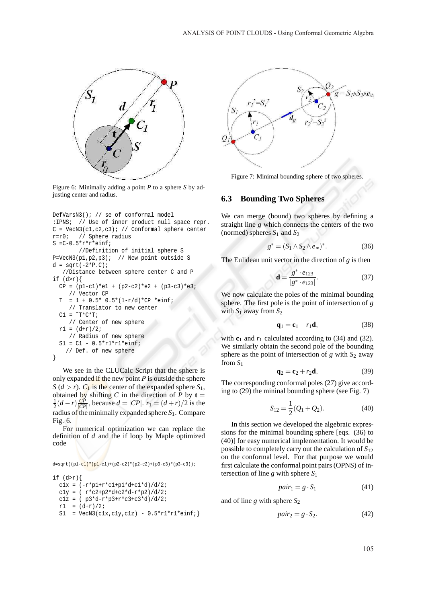

Figure 6: Minimally adding a point *P* to a sphere *S* by adjusting center and radius.

```
DefVarsN3(); // se of conformal model
:IPNS; // Use of inner product null space repr.
C = VecN3(c1,c2,c3); // Conformal sphere center
r=r0; // Sphere radius
S = C - 0.5*r*r*einf;//Definition of initial sphere S
P=VecN3(p1,p2,p3); // New point outside S
d = sqrt(-2*P.C);//Distance between sphere center C and P
if (d>r){
 CP = (p1-c1)*e1 + (p2-c2)*e2 + (p3-c3)*e3;// Vector CP
  T = 1 + 0.5* 0.5*(1-r/d)*CP *einf;// Translator to new center
  Cl = \Upsilon^*C^*T;// Center of new sphere
  r1 = (d+r)/2;// Radius of new sphere
  S1 = C1 - 0.5*r1*r1*einf;// Def. of new sphere
}
```
We see in the CLUCalc Script that the sphere is only expanded if the new point *P* is outside the sphere *S* (*d* > *r*).  $C_1$  is the center of the expanded sphere  $S_1$ , obtained by shifting *C* in the direction of *P* by **t** =  $\frac{1}{2}(d-r)\frac{CP}{|CP|}$ , because  $d = |CP|$ .  $r_1 = (d+r)/2$  is the radius of the minimally expanded sphere *S*1. Compare Fig. 6.

For numerical optimization we can replace the definition of *d* and the if loop by Maple optimized code

#### d=sqrt((p1-c1)\*(p1-c1)+(p2-c2)\*(p2-c2)+(p3-c3)\*(p3-c3));

```
if (d>r)c1x = (-r*p1+r*c1+pl*d+cl*d)/d/2;c1y = ( r*c2+p2*d+c2*d-r*p2)/d/2;
 c1z = (p3*d-r*p3+r*c3+c3*d)/d/2;r1 = (d+r)/2;S1 = VecN3(clx, c1y, c1z) - 0.5*r1*r1*einf;
```


Figure 7: Minimal bounding sphere of two spheres.

### **6.3 Bounding Two Spheres**

We can merge (bound) two spheres by defining a straight line *g* which connects the centers of the two (normed) spheres  $S_1$  and  $S_2$ 

$$
g^* = (S_1 \wedge S_2 \wedge e_\infty)^*.
$$
 (36)

The Eulidean unit vector in the direction of *g* is then

$$
\mathbf{d} = \frac{g^* \cdot e_{123}}{|g^* \cdot e_{123}|}. \tag{37}
$$

We now calculate the poles of the minimal bounding sphere. The first pole is the point of intersection of *g* with  $S_1$  away from  $S_2$ 

$$
\mathbf{q}_1 = \mathbf{c}_1 - r_1 \mathbf{d},\tag{38}
$$

with  $c_1$  and  $r_1$  calculated according to (34) and (32). We similarly obtain the second pole of the bounding sphere as the point of intersection of *g* with *S*<sup>2</sup> away from *S*<sup>1</sup>

$$
\mathbf{q}_2 = \mathbf{c}_2 + r_2 \mathbf{d},\tag{39}
$$

The corresponding conformal poles (27) give according to (29) the mininal bounding sphere (see Fig. 7)

$$
S_{12} = \frac{1}{2}(Q_1 + Q_2). \tag{40}
$$

In this section we developed the algebraic expressions for the minimal bounding sphere [eqs. (36) to (40)] for easy numerical implementation. It would be possible to completely carry out the calculation of *S*<sup>12</sup> on the conformal level. For that purpose we would first calculate the conformal point pairs (OPNS) of intersection of line *g* with sphere *S*<sup>1</sup>

$$
pair_1 = g \cdot S_1 \tag{41}
$$

and of line *g* with sphere *S*<sup>2</sup>

$$
pair_2 = g \cdot S_2. \tag{42}
$$